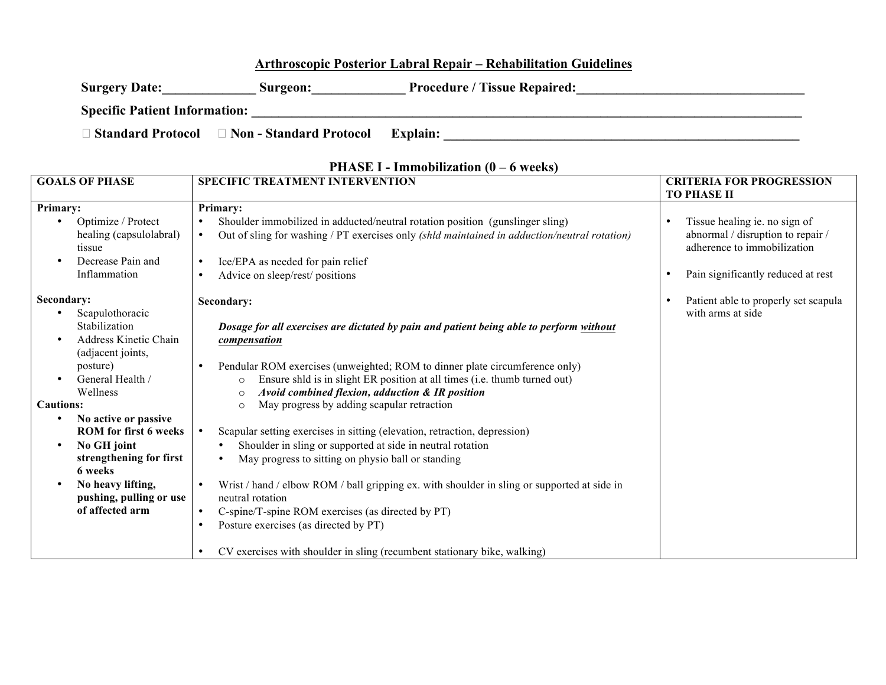## **Arthroscopic Posterior Labral Repair – Rehabilitation Guidelines**

| <b>Surgery Date:</b> | surgeon: | <b>Procedure / Tissue Repaired:</b> |  |
|----------------------|----------|-------------------------------------|--|
|                      |          |                                     |  |

**Specific Patient Information: \_\_\_\_\_\_\_\_\_\_\_\_\_\_\_\_\_\_\_\_\_\_\_\_\_\_\_\_\_\_\_\_\_\_\_\_\_\_\_\_\_\_\_\_\_\_\_\_\_\_\_\_\_\_\_\_\_\_\_\_\_\_\_\_\_\_\_\_\_\_\_\_\_\_\_\_\_\_\_\_\_\_**

**Standard Protocol Non - Standard Protocol Explain: \_\_\_\_\_\_\_\_\_\_\_\_\_\_\_\_\_\_\_\_\_\_\_\_\_\_\_\_\_\_\_\_\_\_\_\_\_\_\_\_\_\_\_\_\_\_\_\_\_\_\_\_\_**

| <b>GOALS OF PHASE</b>                                                                                                                                        | <b>SPECIFIC TREATMENT INTERVENTION</b>                                                                                                                                                                                                                                                                                                                                                                              | <b>CRITERIA FOR PROGRESSION</b><br><b>TO PHASE II</b>                                             |
|--------------------------------------------------------------------------------------------------------------------------------------------------------------|---------------------------------------------------------------------------------------------------------------------------------------------------------------------------------------------------------------------------------------------------------------------------------------------------------------------------------------------------------------------------------------------------------------------|---------------------------------------------------------------------------------------------------|
| Primary:                                                                                                                                                     | Primary:                                                                                                                                                                                                                                                                                                                                                                                                            |                                                                                                   |
| Optimize / Protect<br>healing (capsulolabral)<br>tissue                                                                                                      | Shoulder immobilized in adducted/neutral rotation position (gunslinger sling)<br>Out of sling for washing / PT exercises only (shld maintained in adduction/neutral rotation)<br>$\bullet$                                                                                                                                                                                                                          | Tissue healing ie. no sign of<br>abnormal / disruption to repair /<br>adherence to immobilization |
| Decrease Pain and                                                                                                                                            | Ice/EPA as needed for pain relief<br>$\bullet$                                                                                                                                                                                                                                                                                                                                                                      |                                                                                                   |
| Inflammation                                                                                                                                                 | Advice on sleep/rest/ positions<br>$\bullet$                                                                                                                                                                                                                                                                                                                                                                        | Pain significantly reduced at rest<br>$\bullet$                                                   |
| Secondary:<br>Scapulothoracic<br>Stabilization<br>Address Kinetic Chain<br>(adjacent joints,<br>posture)<br>General Health /<br>Wellness<br><b>Cautions:</b> | Secondary:<br>Dosage for all exercises are dictated by pain and patient being able to perform without<br>compensation<br>Pendular ROM exercises (unweighted; ROM to dinner plate circumference only)<br>Ensure shld is in slight ER position at all times (i.e. thumb turned out)<br>$\circ$<br>Avoid combined flexion, adduction & IR position<br>$\circ$<br>May progress by adding scapular retraction<br>$\circ$ | Patient able to properly set scapula<br>with arms at side                                         |
| No active or passive                                                                                                                                         |                                                                                                                                                                                                                                                                                                                                                                                                                     |                                                                                                   |
| <b>ROM</b> for first 6 weeks                                                                                                                                 | Scapular setting exercises in sitting (elevation, retraction, depression)                                                                                                                                                                                                                                                                                                                                           |                                                                                                   |
| No GH joint                                                                                                                                                  | Shoulder in sling or supported at side in neutral rotation                                                                                                                                                                                                                                                                                                                                                          |                                                                                                   |
| strengthening for first<br>6 weeks                                                                                                                           | May progress to sitting on physio ball or standing                                                                                                                                                                                                                                                                                                                                                                  |                                                                                                   |
| No heavy lifting,<br>$\bullet$<br>pushing, pulling or use                                                                                                    | Wrist / hand / elbow ROM / ball gripping ex. with shoulder in sling or supported at side in<br>neutral rotation                                                                                                                                                                                                                                                                                                     |                                                                                                   |
| of affected arm                                                                                                                                              | C-spine/T-spine ROM exercises (as directed by PT)<br>$\bullet$                                                                                                                                                                                                                                                                                                                                                      |                                                                                                   |
|                                                                                                                                                              | Posture exercises (as directed by PT)                                                                                                                                                                                                                                                                                                                                                                               |                                                                                                   |
|                                                                                                                                                              | CV exercises with shoulder in sling (recumbent stationary bike, walking)                                                                                                                                                                                                                                                                                                                                            |                                                                                                   |

## **PHASE I - Immobilization (0 – 6 weeks)**

┑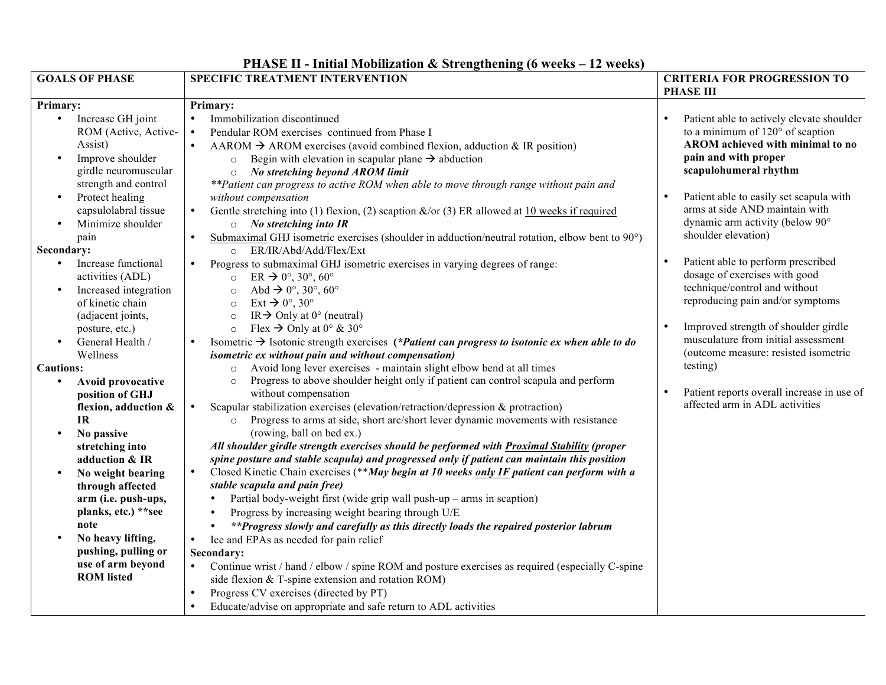## **PHASE II - Initial Mobilization & Strengthening (6 weeks – 12 weeks)**

| <b>GOALS OF PHASE</b>              | <b>SPECIFIC TREATMENT INTERVENTION</b>                                                                                    | <b>CRITERIA FOR PROGRESSION TO</b>                             |  |
|------------------------------------|---------------------------------------------------------------------------------------------------------------------------|----------------------------------------------------------------|--|
|                                    |                                                                                                                           | <b>PHASE III</b>                                               |  |
| Primary:                           | Primary:                                                                                                                  |                                                                |  |
| Increase GH joint<br>$\bullet$     | $\bullet$<br>Immobilization discontinued                                                                                  | Patient able to actively elevate shoulder                      |  |
| ROM (Active, Active-               | Pendular ROM exercises continued from Phase I<br>$\bullet$                                                                | to a minimum of $120^{\circ}$ of scaption                      |  |
| Assist)                            | AAROM $\rightarrow$ AROM exercises (avoid combined flexion, adduction & IR position)<br>$\bullet$                         | AROM achieved with minimal to no                               |  |
| Improve shoulder<br>$\bullet$      | Begin with elevation in scapular plane $\rightarrow$ abduction<br>$\circ$                                                 | pain and with proper                                           |  |
| girdle neuromuscular               | No stretching beyond AROM limit<br>$\circ$                                                                                | scapulohumeral rhythm                                          |  |
| strength and control               | **Patient can progress to active ROM when able to move through range without pain and                                     |                                                                |  |
| Protect healing<br>$\bullet$       | without compensation                                                                                                      | Patient able to easily set scapula with                        |  |
| capsulolabral tissue               | Gentle stretching into (1) flexion, (2) scaption $\&$ /or (3) ER allowed at 10 weeks if required<br>$\bullet$             | arms at side AND maintain with                                 |  |
| Minimize shoulder                  | $\circ$ No stretching into IR                                                                                             | dynamic arm activity (below 90°                                |  |
| pain                               | Submaximal GHJ isometric exercises (shoulder in adduction/neutral rotation, elbow bent to 90°)<br>$\bullet$               | shoulder elevation)                                            |  |
| Secondary:                         | O ER/IR/Abd/Add/Flex/Ext                                                                                                  |                                                                |  |
| Increase functional<br>$\bullet$   | Progress to submaximal GHJ isometric exercises in varying degrees of range:                                               | Patient able to perform prescribed                             |  |
| activities (ADL)                   | $ER \rightarrow 0^{\circ}, 30^{\circ}, 60^{\circ}$<br>$\circ$                                                             | dosage of exercises with good<br>technique/control and without |  |
| Increased integration<br>$\bullet$ | Abd $\rightarrow 0^{\circ}$ , 30°, 60°<br>$\circ$                                                                         | reproducing pain and/or symptoms                               |  |
| of kinetic chain                   | $Ext \rightarrow 0^{\circ}, 30^{\circ}$<br>$\circ$                                                                        |                                                                |  |
| (adjacent joints,                  | IR $\rightarrow$ Only at 0 $\degree$ (neutral)<br>$\circ$                                                                 | Improved strength of shoulder girdle                           |  |
| posture, etc.)                     | Flex $\rightarrow$ Only at 0° & 30°<br>$\circ$                                                                            | musculature from initial assessment                            |  |
| General Health /<br>$\bullet$      | Isometric $\rightarrow$ Isotonic strength exercises (*Patient can progress to isotonic ex when able to do<br>$\bullet$    | (outcome measure: resisted isometric                           |  |
| Wellness                           | <i>isometric ex without pain and without compensation)</i>                                                                | testing)                                                       |  |
| <b>Cautions:</b>                   | Avoid long lever exercises - maintain slight elbow bend at all times<br>$\circ$                                           |                                                                |  |
| Avoid provocative<br>$\bullet$     | Progress to above shoulder height only if patient can control scapula and perform<br>$\circ$<br>without compensation      | Patient reports overall increase in use of                     |  |
| position of GHJ                    | $\bullet$                                                                                                                 | affected arm in ADL activities                                 |  |
| flexion, adduction &<br>IR         | Scapular stabilization exercises (elevation/retraction/depression & protraction)                                          |                                                                |  |
|                                    | Progress to arms at side, short arc/short lever dynamic movements with resistance<br>$\circ$<br>(rowing, ball on bed ex.) |                                                                |  |
| No passive<br>stretching into      | All shoulder girdle strength exercises should be performed with Proximal Stability (proper                                |                                                                |  |
| adduction & IR                     | spine posture and stable scapula) and progressed only if patient can maintain this position                               |                                                                |  |
| No weight bearing<br>$\bullet$     | Closed Kinetic Chain exercises (**May begin at 10 weeks only IF patient can perform with a<br>$\bullet$                   |                                                                |  |
| through affected                   | stable scapula and pain free)                                                                                             |                                                                |  |
| arm (i.e. push-ups,                | Partial body-weight first (wide grip wall push-up - arms in scaption)                                                     |                                                                |  |
| planks, etc.) ** see               | Progress by increasing weight bearing through U/E                                                                         |                                                                |  |
| note                               | **Progress slowly and carefully as this directly loads the repaired posterior labrum                                      |                                                                |  |
| No heavy lifting,<br>$\bullet$     | Ice and EPAs as needed for pain relief<br>$\bullet$                                                                       |                                                                |  |
| pushing, pulling or                | Secondary:                                                                                                                |                                                                |  |
| use of arm beyond                  | Continue wrist / hand / elbow / spine ROM and posture exercises as required (especially C-spine                           |                                                                |  |
| <b>ROM</b> listed                  | side flexion & T-spine extension and rotation ROM)                                                                        |                                                                |  |
|                                    | Progress CV exercises (directed by PT)<br>$\bullet$                                                                       |                                                                |  |
|                                    | $\bullet$                                                                                                                 |                                                                |  |
|                                    | Educate/advise on appropriate and safe return to ADL activities                                                           |                                                                |  |